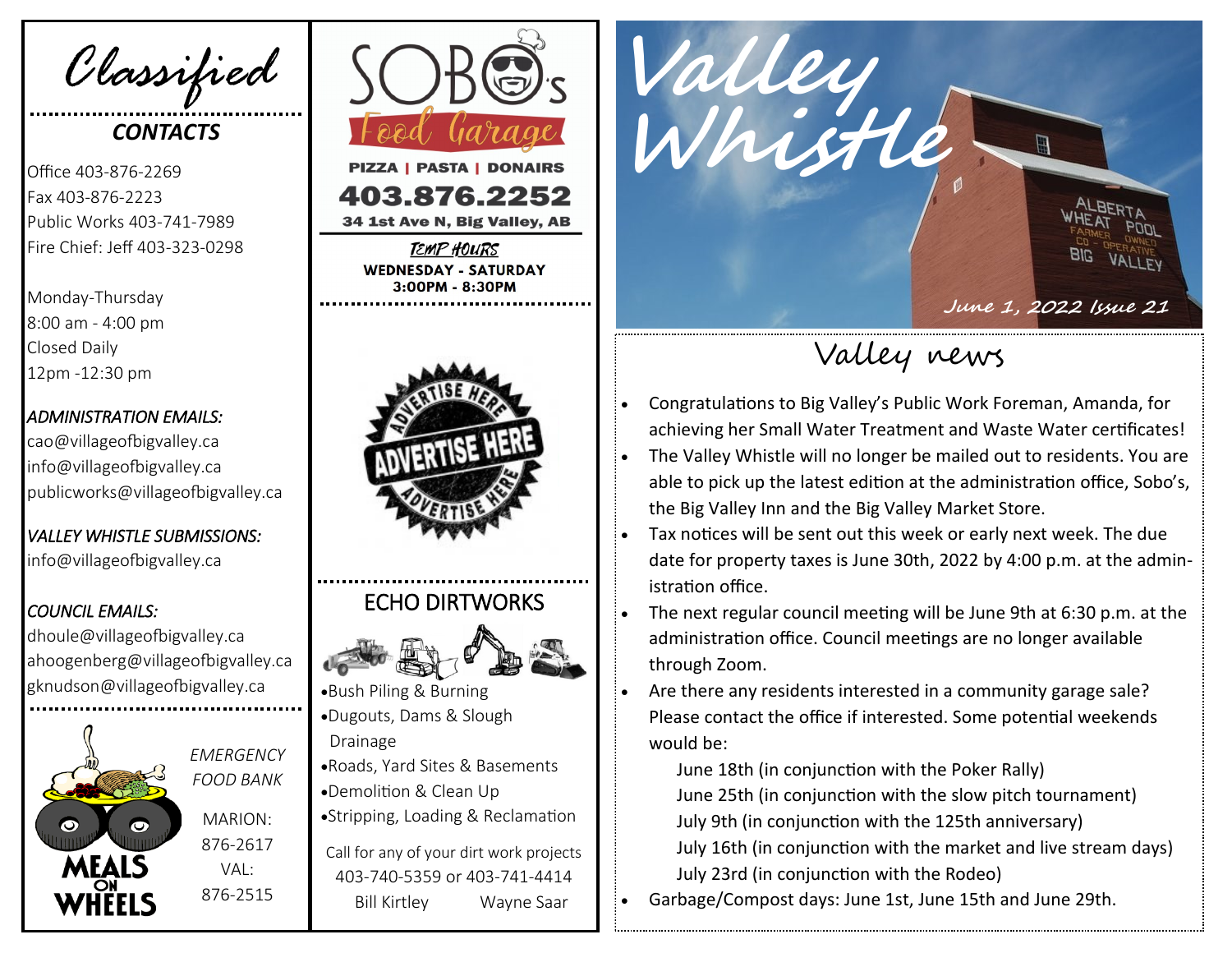*Classified*

# *CONTACTS*

Office 403-876-2269 Fax 403-876-2223 Public Works 403-741-7989 Fire Chief: Jeff 403-323-0298

Monday-Thursday 8:00 am - 4:00 pm Closed Daily 12pm -12:30 pm

#### *ADMINISTRATION EMAILS:*

cao@villageofbigvalley.ca info@villageofbigvalley.ca publicworks@villageofbigvalley.ca

*VALLEY WHISTLE SUBMISSIONS:*  info@villageofbigvalley.ca

#### *COUNCIL EMAILS:*

dhoule@villageofbigvalley.ca ahoogenberg@villageofbigvalley.ca gknudson@villageofbigvalley.ca



*EMERGENCY FOOD BANK* MARION: 876-2617  $VAI$ 876-2515



34 1st Ave N, Big Valley, AB

TEMP HOURS **WEDNESDAY - SATURDAY** 3:00PM - 8:30PM



## ECHO DIRTWORKS



•Bush Piling & Burning •Dugouts, Dams & Slough Drainage •Roads, Yard Sites & Basements

- •Demolition & Clean Up
- •Stripping, Loading & Reclamation

Call for any of your dirt work projects 403-740-5359 or 403-741-4414 Bill Kirtley Wayne Saar



Valley news

- Congratulations to Big Valley's Public Work Foreman, Amanda, for achieving her Small Water Treatment and Waste Water certificates!
- The Valley Whistle will no longer be mailed out to residents. You are able to pick up the latest edition at the administration office, Sobo's, the Big Valley Inn and the Big Valley Market Store.
- Tax notices will be sent out this week or early next week. The due date for property taxes is June 30th, 2022 by 4:00 p.m. at the administration office.
- The next regular council meeting will be June 9th at 6:30 p.m. at the administration office. Council meetings are no longer available through Zoom.

• Are there any residents interested in a community garage sale? Please contact the office if interested. Some potential weekends would be:

June 18th (in conjunction with the Poker Rally) June 25th (in conjunction with the slow pitch tournament) July 9th (in conjunction with the 125th anniversary) July 16th (in conjunction with the market and live stream days) July 23rd (in conjunction with the Rodeo)

• Garbage/Compost days: June 1st, June 15th and June 29th.